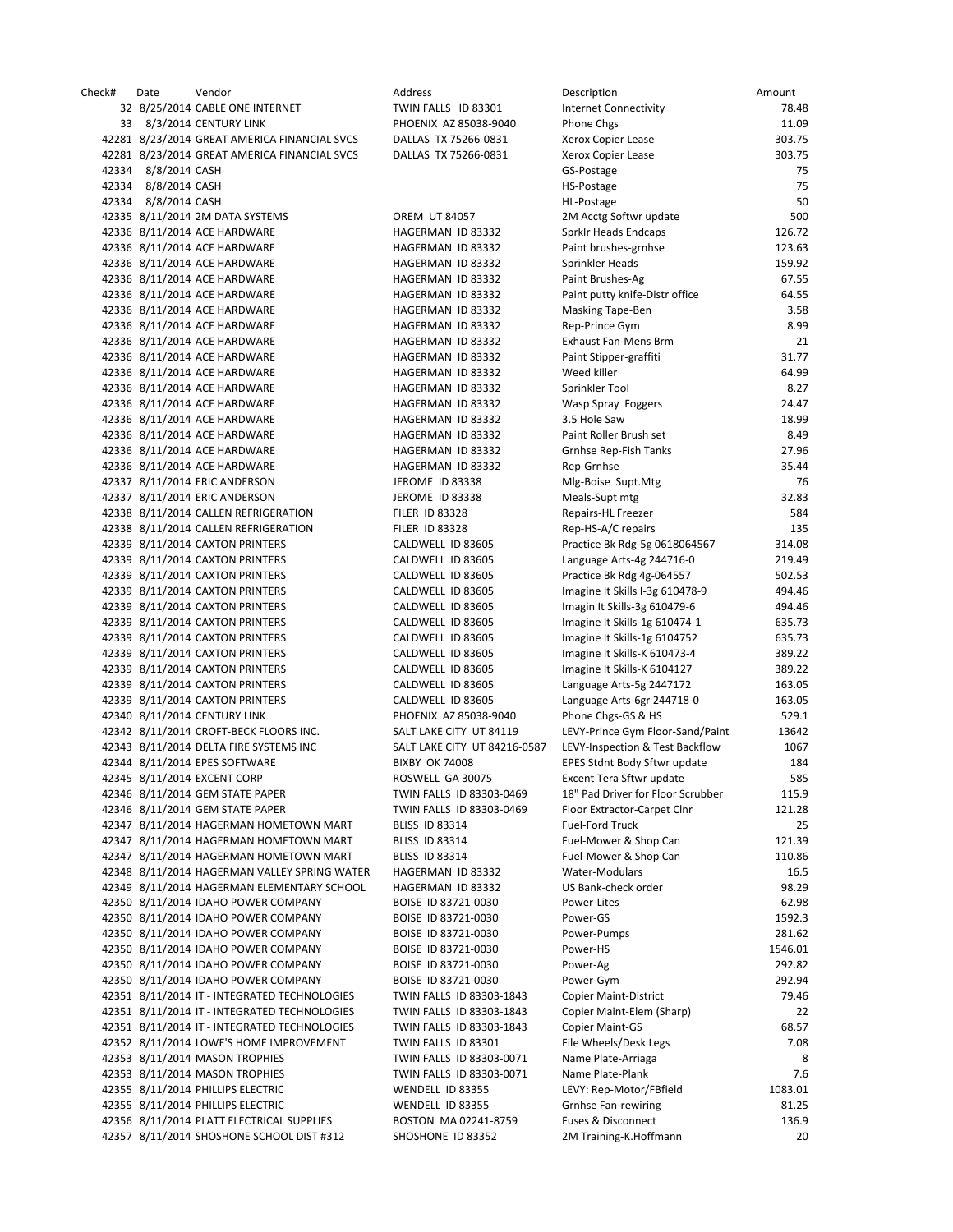| Check# | Date                | Vendor                                       | Address                      | Description                       | Amount  |
|--------|---------------------|----------------------------------------------|------------------------------|-----------------------------------|---------|
|        |                     | 32 8/25/2014 CABLE ONE INTERNET              | TWIN FALLS ID 83301          | Internet Connectivity             | 78.48   |
|        |                     | 33 8/3/2014 CENTURY LINK                     | PHOENIX AZ 85038-9040        | Phone Chgs                        | 11.09   |
|        |                     | 42281 8/23/2014 GREAT AMERICA FINANCIAL SVCS | DALLAS TX 75266-0831         | Xerox Copier Lease                | 303.75  |
|        |                     | 42281 8/23/2014 GREAT AMERICA FINANCIAL SVCS | DALLAS TX 75266-0831         | Xerox Copier Lease                | 303.75  |
|        | 42334 8/8/2014 CASH |                                              |                              | GS-Postage                        | 75      |
|        | 42334 8/8/2014 CASH |                                              |                              |                                   | 75      |
|        |                     |                                              |                              | HS-Postage                        |         |
|        | 42334 8/8/2014 CASH |                                              |                              | HL-Postage                        | 50      |
|        |                     | 42335 8/11/2014 2M DATA SYSTEMS              | <b>OREM UT 84057</b>         | 2M Acctg Softwr update            | 500     |
|        |                     | 42336 8/11/2014 ACE HARDWARE                 | HAGERMAN ID 83332            | Sprklr Heads Endcaps              | 126.72  |
|        |                     | 42336 8/11/2014 ACE HARDWARE                 | HAGERMAN ID 83332            | Paint brushes-grnhse              | 123.63  |
|        |                     | 42336 8/11/2014 ACE HARDWARE                 | HAGERMAN ID 83332            | Sprinkler Heads                   | 159.92  |
|        |                     | 42336 8/11/2014 ACE HARDWARE                 | HAGERMAN ID 83332            | Paint Brushes-Ag                  | 67.55   |
|        |                     | 42336 8/11/2014 ACE HARDWARE                 | HAGERMAN ID 83332            | Paint putty knife-Distr office    | 64.55   |
|        |                     | 42336 8/11/2014 ACE HARDWARE                 | HAGERMAN ID 83332            | Masking Tape-Ben                  | 3.58    |
|        |                     |                                              |                              |                                   |         |
|        |                     | 42336 8/11/2014 ACE HARDWARE                 | HAGERMAN ID 83332            | Rep-Prince Gym                    | 8.99    |
|        |                     | 42336 8/11/2014 ACE HARDWARE                 | HAGERMAN ID 83332            | Exhaust Fan-Mens Brm              | 21      |
|        |                     | 42336 8/11/2014 ACE HARDWARE                 | HAGERMAN ID 83332            | Paint Stipper-graffiti            | 31.77   |
|        |                     | 42336 8/11/2014 ACE HARDWARE                 | HAGERMAN ID 83332            | Weed killer                       | 64.99   |
|        |                     | 42336 8/11/2014 ACE HARDWARE                 | HAGERMAN ID 83332            | Sprinkler Tool                    | 8.27    |
|        |                     | 42336 8/11/2014 ACE HARDWARE                 | HAGERMAN ID 83332            | Wasp Spray Foggers                | 24.47   |
|        |                     | 42336 8/11/2014 ACE HARDWARE                 | HAGERMAN ID 83332            | 3.5 Hole Saw                      | 18.99   |
|        |                     | 42336 8/11/2014 ACE HARDWARE                 | HAGERMAN ID 83332            | Paint Roller Brush set            | 8.49    |
|        |                     | 42336 8/11/2014 ACE HARDWARE                 | HAGERMAN ID 83332            | Grnhse Rep-Fish Tanks             | 27.96   |
|        |                     | 42336 8/11/2014 ACE HARDWARE                 | HAGERMAN ID 83332            | Rep-Grnhse                        | 35.44   |
|        |                     |                                              |                              |                                   |         |
|        |                     | 42337 8/11/2014 ERIC ANDERSON                | JEROME ID 83338              | Mlg-Boise Supt.Mtg                | 76      |
|        |                     | 42337 8/11/2014 ERIC ANDERSON                | <b>JEROME ID 83338</b>       | Meals-Supt mtg                    | 32.83   |
|        |                     | 42338 8/11/2014 CALLEN REFRIGERATION         | <b>FILER ID 83328</b>        | Repairs-HL Freezer                | 584     |
|        |                     | 42338 8/11/2014 CALLEN REFRIGERATION         | <b>FILER ID 83328</b>        | Rep-HS-A/C repairs                | 135     |
|        |                     | 42339 8/11/2014 CAXTON PRINTERS              | CALDWELL ID 83605            | Practice Bk Rdg-5g 0618064567     | 314.08  |
|        |                     | 42339 8/11/2014 CAXTON PRINTERS              | CALDWELL ID 83605            | Language Arts-4g 244716-0         | 219.49  |
|        |                     | 42339 8/11/2014 CAXTON PRINTERS              | CALDWELL ID 83605            | Practice Bk Rdg 4g-064557         | 502.53  |
|        |                     | 42339 8/11/2014 CAXTON PRINTERS              | CALDWELL ID 83605            | Imagine It Skills I-3g 610478-9   | 494.46  |
|        |                     | 42339 8/11/2014 CAXTON PRINTERS              | CALDWELL ID 83605            | Imagin It Skills-3g 610479-6      | 494.46  |
|        |                     |                                              |                              |                                   |         |
|        |                     | 42339 8/11/2014 CAXTON PRINTERS              | CALDWELL ID 83605            | Imagine It Skills-1g 610474-1     | 635.73  |
|        |                     | 42339 8/11/2014 CAXTON PRINTERS              | CALDWELL ID 83605            | Imagine It Skills-1g 6104752      | 635.73  |
|        |                     | 42339 8/11/2014 CAXTON PRINTERS              | CALDWELL ID 83605            | Imagine It Skills-K 610473-4      | 389.22  |
|        |                     | 42339 8/11/2014 CAXTON PRINTERS              | CALDWELL ID 83605            | Imagine It Skills-K 6104127       | 389.22  |
|        |                     | 42339 8/11/2014 CAXTON PRINTERS              | CALDWELL ID 83605            | Language Arts-5g 2447172          | 163.05  |
|        |                     | 42339 8/11/2014 CAXTON PRINTERS              | CALDWELL ID 83605            | Language Arts-6gr 244718-0        | 163.05  |
|        |                     | 42340 8/11/2014 CENTURY LINK                 | PHOENIX AZ 85038-9040        | Phone Chgs-GS & HS                | 529.1   |
|        |                     | 42342 8/11/2014 CROFT-BECK FLOORS INC.       | SALT LAKE CITY UT 84119      | LEVY-Prince Gym Floor-Sand/Paint  | 13642   |
|        |                     | 42343 8/11/2014 DELTA FIRE SYSTEMS INC       | SALT LAKE CITY UT 84216-0587 | LEVY-Inspection & Test Backflow   | 1067    |
|        |                     |                                              |                              |                                   |         |
|        |                     | 42344 8/11/2014 EPES SOFTWARE                | <b>BIXBY OK 74008</b>        | EPES Stdnt Body Sftwr update      | 184     |
|        |                     | 42345 8/11/2014 EXCENT CORP                  | ROSWELL GA 30075             | Excent Tera Sftwr update          | 585     |
|        |                     | 42346 8/11/2014 GEM STATE PAPER              | TWIN FALLS ID 83303-0469     | 18" Pad Driver for Floor Scrubber | 115.9   |
|        |                     | 42346 8/11/2014 GEM STATE PAPER              | TWIN FALLS ID 83303-0469     | Floor Extractor-Carpet Clnr       | 121.28  |
|        |                     | 42347 8/11/2014 HAGERMAN HOMETOWN MART       | <b>BLISS ID 83314</b>        | Fuel-Ford Truck                   | 25      |
|        |                     | 42347 8/11/2014 HAGERMAN HOMETOWN MART       | <b>BLISS ID 83314</b>        | Fuel-Mower & Shop Can             | 121.39  |
|        |                     | 42347 8/11/2014 HAGERMAN HOMETOWN MART       | BLISS ID 83314               | Fuel-Mower & Shop Can             | 110.86  |
|        |                     | 42348 8/11/2014 HAGERMAN VALLEY SPRING WATER | HAGERMAN ID 83332            | Water-Modulars                    | 16.5    |
|        |                     | 42349 8/11/2014 HAGERMAN ELEMENTARY SCHOOL   | HAGERMAN ID 83332            | US Bank-check order               | 98.29   |
|        |                     | 42350 8/11/2014 IDAHO POWER COMPANY          |                              |                                   | 62.98   |
|        |                     |                                              | BOISE ID 83721-0030          | Power-Lites                       |         |
|        |                     | 42350 8/11/2014 IDAHO POWER COMPANY          | BOISE ID 83721-0030          | Power-GS                          | 1592.3  |
|        |                     | 42350 8/11/2014 IDAHO POWER COMPANY          | BOISE ID 83721-0030          | Power-Pumps                       | 281.62  |
|        |                     | 42350 8/11/2014 IDAHO POWER COMPANY          | BOISE ID 83721-0030          | Power-HS                          | 1546.01 |
|        |                     | 42350 8/11/2014 IDAHO POWER COMPANY          | BOISE ID 83721-0030          | Power-Ag                          | 292.82  |
|        |                     | 42350 8/11/2014 IDAHO POWER COMPANY          | BOISE ID 83721-0030          | Power-Gym                         | 292.94  |
|        |                     | 42351 8/11/2014 IT - INTEGRATED TECHNOLOGIES | TWIN FALLS ID 83303-1843     | <b>Copier Maint-District</b>      | 79.46   |
|        |                     | 42351 8/11/2014 IT - INTEGRATED TECHNOLOGIES | TWIN FALLS ID 83303-1843     | Copier Maint-Elem (Sharp)         | 22      |
|        |                     | 42351 8/11/2014 IT - INTEGRATED TECHNOLOGIES | TWIN FALLS ID 83303-1843     | Copier Maint-GS                   | 68.57   |
|        |                     |                                              |                              |                                   |         |
|        |                     | 42352 8/11/2014 LOWE'S HOME IMPROVEMENT      | TWIN FALLS ID 83301          | File Wheels/Desk Legs             | 7.08    |
|        |                     | 42353 8/11/2014 MASON TROPHIES               | TWIN FALLS ID 83303-0071     | Name Plate-Arriaga                | 8       |
|        |                     | 42353 8/11/2014 MASON TROPHIES               | TWIN FALLS ID 83303-0071     | Name Plate-Plank                  | 7.6     |
|        |                     | 42355 8/11/2014 PHILLIPS ELECTRIC            | WENDELL ID 83355             | LEVY: Rep-Motor/FBfield           | 1083.01 |
|        |                     | 42355 8/11/2014 PHILLIPS ELECTRIC            | WENDELL ID 83355             | <b>Grnhse Fan-rewiring</b>        | 81.25   |
|        |                     | 42356 8/11/2014 PLATT ELECTRICAL SUPPLIES    | BOSTON MA 02241-8759         | Fuses & Disconnect                | 136.9   |
|        |                     | 42357 8/11/2014 SHOSHONE SCHOOL DIST #312    | SHOSHONE ID 83352            | 2M Training-K.Hoffmann            | 20      |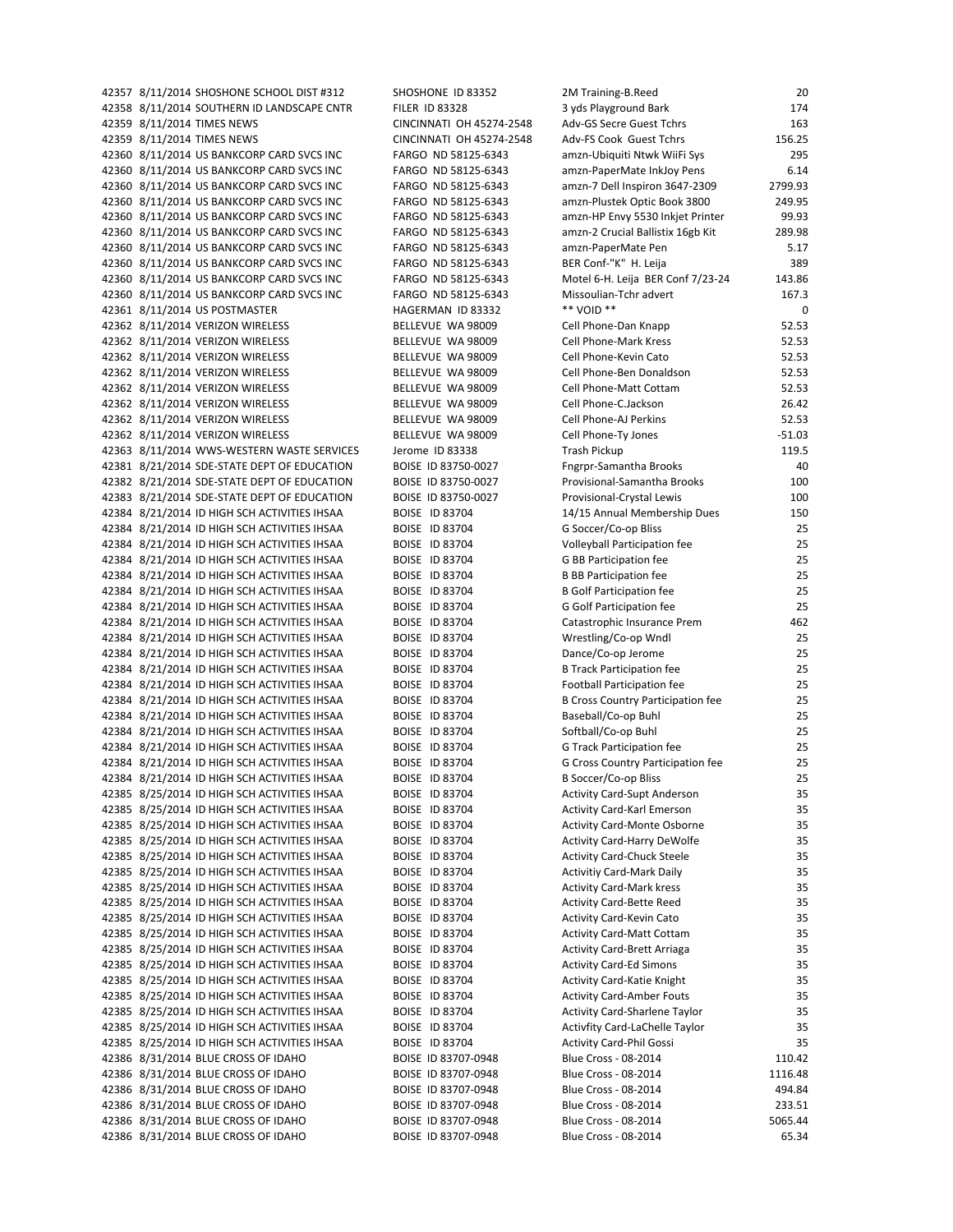42357 8/11/2014 SHOSHONE SCHOOL DIST #312 SHOSHONE ID 83352 42358 8/11/2014 SOUTHERN ID LANDSCAPE CNTR FILER ID 83328 42359 8/11/2014 TIMES NEWS CINCINNATI OH 45274-2548 42359 8/11/2014 TIMES NEWS CINCINNATI OH 45274-2548 42360 8/11/2014 US BANKCORP CARD SVCS INC FARGO ND 58125-6343 42360 8/11/2014 US BANKCORP CARD SVCS INC FARGO ND 58125-6343 42360 8/11/2014 US BANKCORP CARD SVCS INC FARGO ND 58125-6343 42360 8/11/2014 US BANKCORP CARD SVCS INC FARGO ND 58125-6343 42360 8/11/2014 US BANKCORP CARD SVCS INC FARGO ND 58125-6343 42360 8/11/2014 US BANKCORP CARD SVCS INC FARGO ND 58125-6343 42360 8/11/2014 US BANKCORP CARD SVCS INC FARGO ND 58125-6343 42360 8/11/2014 US BANKCORP CARD SVCS INC FARGO ND 58125-6343 42360 8/11/2014 US BANKCORP CARD SVCS INC FARGO ND 58125-6343 42360 8/11/2014 US BANKCORP CARD SVCS INC FARGO ND 58125-6343 42361 8/11/2014 US POSTMASTER HAGERMAN ID 83332 42362 8/11/2014 VERIZON WIRELESS BELLEVUE WA 98009 42362 8/11/2014 VERIZON WIRELESS BELLEVUE WA 98009 42362 8/11/2014 VERIZON WIRELESS BELLEVUE WA 98009 42362 8/11/2014 VERIZON WIRELESS BELLEVUE WA 98009 42362 8/11/2014 VERIZON WIRELESS BELLEVUE WA 98009 42362 8/11/2014 VERIZON WIRELESS BELLEVUE WA 98009 42362 8/11/2014 VERIZON WIRELESS BELLEVUE WA 98009 42362 8/11/2014 VERIZON WIRELESS BELLEVUE WA 98009 42363 8/11/2014 WWS-WESTERN WASTE SERVICES Jerome ID 83338 42381 8/21/2014 SDE-STATE DEPT OF EDUCATION BOISE ID 83750-0027 42382 8/21/2014 SDE-STATE DEPT OF EDUCATION BOISE ID 83750-0027 42383 8/21/2014 SDE-STATE DEPT OF EDUCATION BOISE ID 83750-0027 42384 8/21/2014 ID HIGH SCH ACTIVITIES IHSAA BOISE ID 83704 42384 8/21/2014 ID HIGH SCH ACTIVITIES IHSAA BOISE ID 83704 42384 8/21/2014 ID HIGH SCH ACTIVITIES IHSAA BOISE ID 83704 42384 8/21/2014 ID HIGH SCH ACTIVITIES IHSAA BOISE ID 83704 42384 8/21/2014 ID HIGH SCH ACTIVITIES IHSAA BOISE ID 83704 42384 8/21/2014 ID HIGH SCH ACTIVITIES IHSAA BOISE ID 83704 42384 8/21/2014 ID HIGH SCH ACTIVITIES IHSAA BOISE ID 83704 42384 8/21/2014 ID HIGH SCH ACTIVITIES IHSAA BOISE ID 83704 42384 8/21/2014 ID HIGH SCH ACTIVITIES IHSAA BOISE ID 83704 42384 8/21/2014 ID HIGH SCH ACTIVITIES IHSAA BOISE ID 83704 42384 8/21/2014 ID HIGH SCH ACTIVITIES IHSAA BOISE ID 83704 42384 8/21/2014 ID HIGH SCH ACTIVITIES IHSAA BOISE ID 83704 42384 8/21/2014 ID HIGH SCH ACTIVITIES IHSAA BOISE ID 83704 42384 8/21/2014 ID HIGH SCH ACTIVITIES IHSAA BOISE ID 83704 42384 8/21/2014 ID HIGH SCH ACTIVITIES IHSAA BOISE ID 83704 42384 8/21/2014 ID HIGH SCH ACTIVITIES IHSAA BOISE ID 83704 42384 8/21/2014 ID HIGH SCH ACTIVITIES IHSAA BOISE ID 83704 42384 8/21/2014 ID HIGH SCH ACTIVITIES IHSAA BOISE ID 83704 42385 8/25/2014 ID HIGH SCH ACTIVITIES IHSAA BOISE ID 83704 42385 8/25/2014 ID HIGH SCH ACTIVITIES IHSAA BOISE ID 83704 42385 8/25/2014 ID HIGH SCH ACTIVITIES IHSAA BOISE ID 83704 42385 8/25/2014 ID HIGH SCH ACTIVITIES IHSAA BOISE ID 83704 42385 8/25/2014 ID HIGH SCH ACTIVITIES IHSAA BOISE ID 83704 42385 8/25/2014 ID HIGH SCH ACTIVITIES IHSAA BOISE ID 83704 42385 8/25/2014 ID HIGH SCH ACTIVITIES IHSAA BOISE ID 83704 42385 8/25/2014 ID HIGH SCH ACTIVITIES IHSAA BOISE ID 83704 42385 8/25/2014 ID HIGH SCH ACTIVITIES IHSAA BOISE ID 83704 42385 8/25/2014 ID HIGH SCH ACTIVITIES IHSAA BOISE ID 83704 42385 8/25/2014 ID HIGH SCH ACTIVITIES IHSAA BOISE ID 83704 42385 8/25/2014 ID HIGH SCH ACTIVITIES IHSAA BOISE ID 83704 42385 8/25/2014 ID HIGH SCH ACTIVITIES IHSAA BOISE ID 83704 42385 8/25/2014 ID HIGH SCH ACTIVITIES IHSAA BOISE ID 83704 42385 8/25/2014 ID HIGH SCH ACTIVITIES IHSAA BOISE ID 83704<br>42385 8/25/2014 ID HIGH SCH ACTIVITIES IHSAA BOISE ID 83704 42385 8/25/2014 ID HIGH SCH ACTIVITIES IHSAA 42385 8/25/2014 ID HIGH SCH ACTIVITIES IHSAA BOISE ID 83704 42386 8/31/2014 BLUE CROSS OF IDAHO BOISE ID 83707-0948 42386 8/31/2014 BLUE CROSS OF IDAHO BOISE ID 83707-0948 42386 8/31/2014 BLUE CROSS OF IDAHO BOISE ID 83707-0948 42386 8/31/2014 BLUE CROSS OF IDAHO BOISE ID 83707-0948 42386 8/31/2014 BLUE CROSS OF IDAHO BOISE ID 83707-0948 42386 8/31/2014 BLUE CROSS OF IDAHO BOISE ID 83707-0948

| 2M Training-B.Reed                       | 20       |
|------------------------------------------|----------|
| 3 yds Playground Bark                    | 174      |
| Adv-GS Secre Guest Tchrs                 | 163      |
| Adv-FS Cook Guest Tchrs                  | 156.25   |
| amzn-Ubiquiti Ntwk WiiFi Sys             | 295      |
| amzn-PaperMate InkJoy Pens               | 6.14     |
| amzn-7 Dell Inspiron 3647-2309           | 2799.93  |
| amzn-Plustek Optic Book 3800             | 249.95   |
| amzn-HP Envy 5530 Inkjet Printer         | 99.93    |
| amzn-2 Crucial Ballistix 16gb Kit        | 289.98   |
| amzn-PaperMate Pen                       | 5.17     |
| BER Conf-"K" H. Leija                    | 389      |
| Motel 6-H. Leija BER Conf 7/23-24        | 143.86   |
| Missoulian-Tchr advert                   | 167.3    |
| ** VOID **                               | 0        |
| Cell Phone-Dan Knapp                     | 52.53    |
| <b>Cell Phone-Mark Kress</b>             | 52.53    |
| Cell Phone-Kevin Cato                    | 52.53    |
| Cell Phone-Ben Donaldson                 | 52.53    |
| Cell Phone-Matt Cottam                   | 52.53    |
| Cell Phone-C.Jackson                     | 26.42    |
| Cell Phone-AJ Perkins                    | 52.53    |
| Cell Phone-Ty Jones                      | $-51.03$ |
| <b>Trash Pickup</b>                      | 119.5    |
| <b>Fngrpr-Samantha Brooks</b>            | 40       |
| Provisional-Samantha Brooks              | 100      |
| Provisional-Crystal Lewis                | 100      |
| 14/15 Annual Membership Dues             | 150      |
| G Soccer/Co-op Bliss                     | 25       |
| Volleyball Participation fee             | 25       |
| <b>G BB Participation fee</b>            | 25       |
| <b>B BB Participation fee</b>            | 25       |
| <b>B</b> Golf Participation fee          | 25       |
| <b>G Golf Participation fee</b>          | 25       |
| Catastrophic Insurance Prem              | 462      |
| Wrestling/Co-op Wndl                     | 25       |
| Dance/Co-op Jerome                       | 25       |
| <b>B Track Participation fee</b>         | 25       |
| <b>Football Participation fee</b>        | 25       |
| <b>B Cross Country Participation fee</b> | 25       |
| Baseball/Co-op Buhl                      | 25       |
| Softball/Co-op Buhl                      | 25       |
| G Track Participation fee                | 25       |
| G Cross Country Participation fee        | 25       |
| B Soccer/Co-op Bliss                     | 25       |
| <b>Activity Card-Supt Anderson</b>       | 35       |
| <b>Activity Card-Karl Emerson</b>        | 35       |
| Activity Card-Monte Osborne              | 35       |
| <b>Activity Card-Harry DeWolfe</b>       | 35       |
| <b>Activity Card-Chuck Steele</b>        | 35       |
| <b>Activitiy Card-Mark Daily</b>         | 35       |
| <b>Activity Card-Mark kress</b>          | 35       |
| <b>Activity Card-Bette Reed</b>          | 35       |
| Activity Card-Kevin Cato                 | 35       |
| <b>Activity Card-Matt Cottam</b>         | 35       |
| <b>Activity Card-Brett Arriaga</b>       | 35       |
| <b>Activity Card-Ed Simons</b>           | 35       |
| <b>Activity Card-Katie Knight</b>        | 35       |
| <b>Activity Card-Amber Fouts</b>         | 35       |
| Activity Card-Sharlene Taylor            | 35       |
| Activfity Card-LaChelle Taylor           | 35       |
| <b>Activity Card-Phil Gossi</b>          | 35       |
| Blue Cross - 08-2014                     | 110.42   |
| Blue Cross - 08-2014                     | 1116.48  |
| Blue Cross - 08-2014                     | 494.84   |
| Blue Cross - 08-2014                     | 233.51   |
| Blue Cross - 08-2014                     | 5065.44  |
| Blue Cross - 08-2014                     | 65.34    |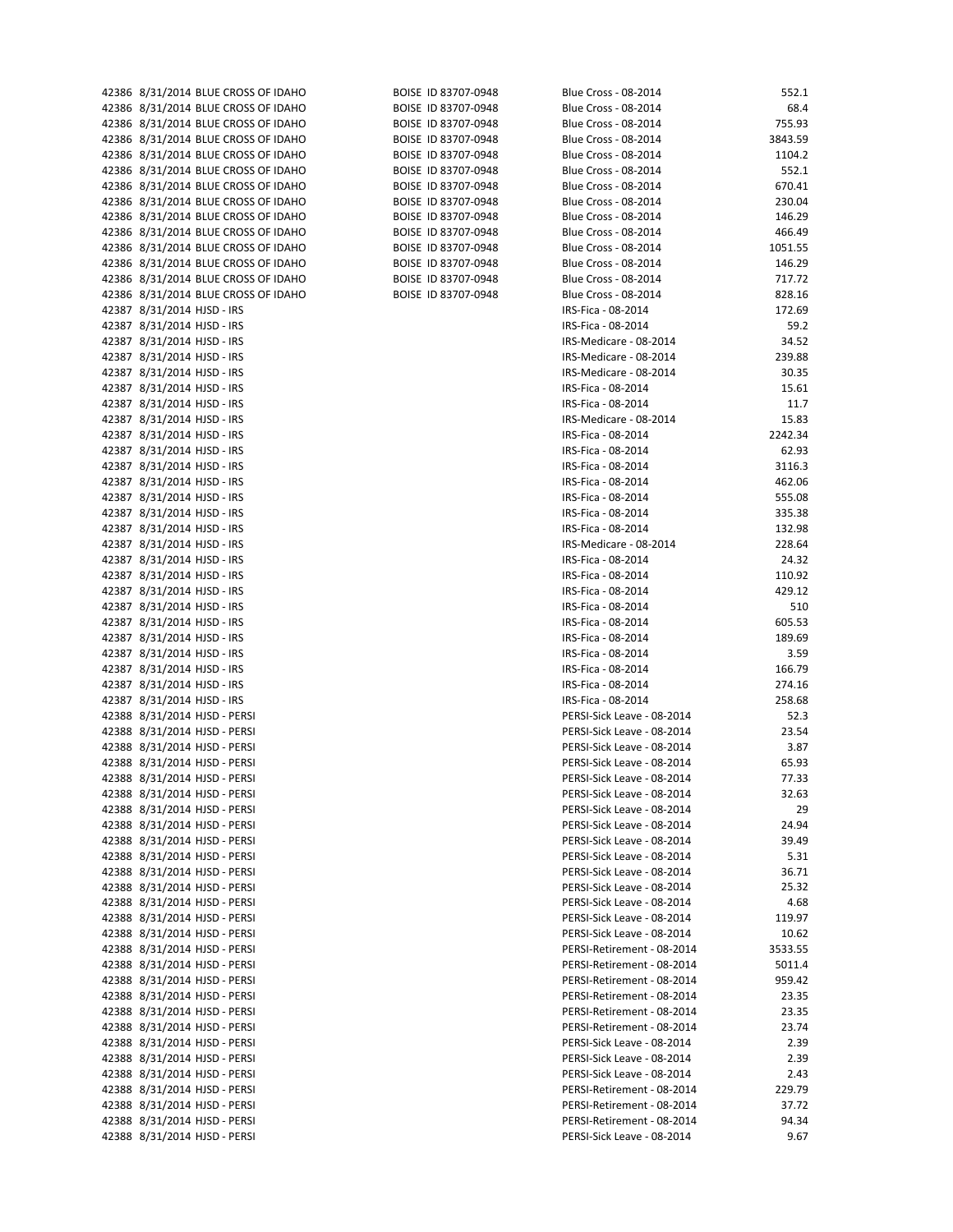| 42386 8/31/2014 BLUE CRUSS OF IDAHO | BUISE ID 83707-0948 | Blue Cross - 08-2014       | 552.1   |
|-------------------------------------|---------------------|----------------------------|---------|
| 42386 8/31/2014 BLUE CROSS OF IDAHO | BOISE ID 83707-0948 | Blue Cross - 08-2014       | 68.4    |
| 42386 8/31/2014 BLUE CROSS OF IDAHO | BOISE ID 83707-0948 | Blue Cross - 08-2014       | 755.93  |
|                                     |                     |                            |         |
| 42386 8/31/2014 BLUE CROSS OF IDAHO | BOISE ID 83707-0948 | Blue Cross - 08-2014       | 3843.59 |
| 42386 8/31/2014 BLUE CROSS OF IDAHO | BOISE ID 83707-0948 | Blue Cross - 08-2014       | 1104.2  |
| 42386 8/31/2014 BLUE CROSS OF IDAHO | BOISE ID 83707-0948 | Blue Cross - 08-2014       | 552.1   |
|                                     |                     |                            |         |
| 42386 8/31/2014 BLUE CROSS OF IDAHO | BOISE ID 83707-0948 | Blue Cross - 08-2014       | 670.41  |
| 42386 8/31/2014 BLUE CROSS OF IDAHO | BOISE ID 83707-0948 | Blue Cross - 08-2014       | 230.04  |
| 42386 8/31/2014 BLUE CROSS OF IDAHO | BOISE ID 83707-0948 | Blue Cross - 08-2014       | 146.29  |
| 42386 8/31/2014 BLUE CROSS OF IDAHO | BOISE ID 83707-0948 | Blue Cross - 08-2014       | 466.49  |
|                                     |                     |                            |         |
| 42386 8/31/2014 BLUE CROSS OF IDAHO | BOISE ID 83707-0948 | Blue Cross - 08-2014       | 1051.55 |
| 42386 8/31/2014 BLUE CROSS OF IDAHO | BOISE ID 83707-0948 | Blue Cross - 08-2014       | 146.29  |
| 42386 8/31/2014 BLUE CROSS OF IDAHO | BOISE ID 83707-0948 | Blue Cross - 08-2014       | 717.72  |
|                                     |                     |                            |         |
| 42386 8/31/2014 BLUE CROSS OF IDAHO | BOISE ID 83707-0948 | Blue Cross - 08-2014       | 828.16  |
| 42387 8/31/2014 HJSD - IRS          |                     | IRS-Fica - 08-2014         | 172.69  |
| 42387 8/31/2014 HJSD - IRS          |                     | IRS-Fica - 08-2014         | 59.2    |
| 42387 8/31/2014 HJSD - IRS          |                     | IRS-Medicare - 08-2014     | 34.52   |
|                                     |                     |                            |         |
| 42387 8/31/2014 HJSD - IRS          |                     | IRS-Medicare - 08-2014     | 239.88  |
| 42387 8/31/2014 HJSD - IRS          |                     | IRS-Medicare - 08-2014     | 30.35   |
| 42387 8/31/2014 HJSD - IRS          |                     | IRS-Fica - 08-2014         | 15.61   |
|                                     |                     | IRS-Fica - 08-2014         |         |
| 42387 8/31/2014 HJSD - IRS          |                     |                            | 11.7    |
| 42387 8/31/2014 HJSD - IRS          |                     | IRS-Medicare - 08-2014     | 15.83   |
| 42387 8/31/2014 HJSD - IRS          |                     | IRS-Fica - 08-2014         | 2242.34 |
| 42387 8/31/2014 HJSD - IRS          |                     | IRS-Fica - 08-2014         | 62.93   |
|                                     |                     |                            |         |
| 42387 8/31/2014 HJSD - IRS          |                     | IRS-Fica - 08-2014         | 3116.3  |
| 42387 8/31/2014 HJSD - IRS          |                     | IRS-Fica - 08-2014         | 462.06  |
| 42387 8/31/2014 HJSD - IRS          |                     | IRS-Fica - 08-2014         | 555.08  |
|                                     |                     |                            |         |
| 42387 8/31/2014 HJSD - IRS          |                     | IRS-Fica - 08-2014         | 335.38  |
| 42387 8/31/2014 HJSD - IRS          |                     | IRS-Fica - 08-2014         | 132.98  |
| 42387 8/31/2014 HJSD - IRS          |                     | IRS-Medicare - 08-2014     | 228.64  |
| 42387 8/31/2014 HJSD - IRS          |                     | IRS-Fica - 08-2014         | 24.32   |
|                                     |                     |                            |         |
| 42387 8/31/2014 HJSD - IRS          |                     | IRS-Fica - 08-2014         | 110.92  |
| 42387 8/31/2014 HJSD - IRS          |                     | IRS-Fica - 08-2014         | 429.12  |
| 42387 8/31/2014 HJSD - IRS          |                     | IRS-Fica - 08-2014         | 510     |
| 42387 8/31/2014 HJSD - IRS          |                     | IRS-Fica - 08-2014         | 605.53  |
|                                     |                     |                            |         |
| 42387 8/31/2014 HJSD - IRS          |                     | IRS-Fica - 08-2014         | 189.69  |
| 42387 8/31/2014 HJSD - IRS          |                     | IRS-Fica - 08-2014         | 3.59    |
| 42387 8/31/2014 HJSD - IRS          |                     | IRS-Fica - 08-2014         | 166.79  |
|                                     |                     |                            |         |
| 42387 8/31/2014 HJSD - IRS          |                     | IRS-Fica - 08-2014         | 274.16  |
| 42387 8/31/2014 HJSD - IRS          |                     | IRS-Fica - 08-2014         | 258.68  |
| 42388 8/31/2014 HJSD - PERSI        |                     | PERSI-Sick Leave - 08-2014 | 52.3    |
| 42388 8/31/2014 HJSD - PERSI        |                     | PERSI-Sick Leave - 08-2014 | 23.54   |
|                                     |                     |                            |         |
| 42388 8/31/2014 HJSD - PERSI        |                     | PERSI-Sick Leave - 08-2014 | 3.87    |
| 42388 8/31/2014 HJSD - PERSI        |                     | PERSI-Sick Leave - 08-2014 | 65.93   |
| 42388 8/31/2014 HJSD - PERSI        |                     | PERSI-Sick Leave - 08-2014 | 77.33   |
|                                     |                     |                            |         |
| 42388 8/31/2014 HJSD - PERSI        |                     | PERSI-Sick Leave - 08-2014 | 32.63   |
| 42388 8/31/2014 HJSD - PERSI        |                     | PERSI-Sick Leave - 08-2014 | 29      |
| 42388 8/31/2014 HJSD - PERSI        |                     | PERSI-Sick Leave - 08-2014 | 24.94   |
| 42388 8/31/2014 HJSD - PERSI        |                     | PERSI-Sick Leave - 08-2014 | 39.49   |
|                                     |                     |                            |         |
| 42388 8/31/2014 HJSD - PERSI        |                     | PERSI-Sick Leave - 08-2014 | 5.31    |
| 42388 8/31/2014 HJSD - PERSI        |                     | PERSI-Sick Leave - 08-2014 | 36.71   |
| 42388 8/31/2014 HJSD - PERSI        |                     | PERSI-Sick Leave - 08-2014 | 25.32   |
| 42388 8/31/2014 HJSD - PERSI        |                     | PERSI-Sick Leave - 08-2014 | 4.68    |
|                                     |                     |                            |         |
| 42388 8/31/2014 HJSD - PERSI        |                     | PERSI-Sick Leave - 08-2014 | 119.97  |
| 42388 8/31/2014 HJSD - PERSI        |                     | PERSI-Sick Leave - 08-2014 | 10.62   |
| 42388 8/31/2014 HJSD - PERSI        |                     | PERSI-Retirement - 08-2014 | 3533.55 |
|                                     |                     | PERSI-Retirement - 08-2014 |         |
| 42388 8/31/2014 HJSD - PERSI        |                     |                            | 5011.4  |
| 42388 8/31/2014 HJSD - PERSI        |                     | PERSI-Retirement - 08-2014 | 959.42  |
| 42388 8/31/2014 HJSD - PERSI        |                     | PERSI-Retirement - 08-2014 | 23.35   |
| 42388 8/31/2014 HJSD - PERSI        |                     | PERSI-Retirement - 08-2014 | 23.35   |
|                                     |                     |                            |         |
| 42388 8/31/2014 HJSD - PERSI        |                     | PERSI-Retirement - 08-2014 | 23.74   |
| 42388 8/31/2014 HJSD - PERSI        |                     | PERSI-Sick Leave - 08-2014 | 2.39    |
| 42388 8/31/2014 HJSD - PERSI        |                     | PERSI-Sick Leave - 08-2014 | 2.39    |
| 42388 8/31/2014 HJSD - PERSI        |                     | PERSI-Sick Leave - 08-2014 | 2.43    |
|                                     |                     |                            |         |
| 42388 8/31/2014 HJSD - PERSI        |                     | PERSI-Retirement - 08-2014 | 229.79  |
| 42388 8/31/2014 HJSD - PERSI        |                     | PERSI-Retirement - 08-2014 | 37.72   |
| 42388 8/31/2014 HJSD - PERSI        |                     | PERSI-Retirement - 08-2014 | 94.34   |
| 42388 8/31/2014 HJSD - PERSI        |                     | PERSI-Sick Leave - 08-2014 | 9.67    |
|                                     |                     |                            |         |

| ROISE | ID 83707-0948 |
|-------|---------------|
| BOISE | ID 83707-0948 |
| ROISE | ID 83707-0948 |
| BOISE | ID 83707-0948 |
| BOISE | ID 83707-0948 |
| ROISE | ID 83707-0948 |
| ROISE | ID 83707-0948 |
| ROISE | ID 83707-0948 |
| BOISE | ID 83707-0948 |
| ROISE | ID 83707-0948 |
| ROISE | ID 83707-0948 |
| ROISE | ID 83707-0948 |
| BOISE | ID 83707-0948 |
| ROISE | ID 83707-0948 |

| 42386 8/31/2014 BLUE CROSS OF IDAHO | BOISE ID 83707-0948 | Blue Cross - 08-2014       | 552.1   |
|-------------------------------------|---------------------|----------------------------|---------|
| 42386 8/31/2014 BLUE CROSS OF IDAHO | BOISE ID 83707-0948 | Blue Cross - 08-2014       | 68.4    |
| 42386 8/31/2014 BLUE CROSS OF IDAHO | BOISE ID 83707-0948 | Blue Cross - 08-2014       | 755.93  |
| 42386 8/31/2014 BLUE CROSS OF IDAHO | BOISE ID 83707-0948 | Blue Cross - 08-2014       | 3843.59 |
| 42386 8/31/2014 BLUE CROSS OF IDAHO | BOISE ID 83707-0948 | Blue Cross - 08-2014       | 1104.2  |
|                                     |                     |                            |         |
| 42386 8/31/2014 BLUE CROSS OF IDAHO | BOISE ID 83707-0948 | Blue Cross - 08-2014       | 552.1   |
| 42386 8/31/2014 BLUE CROSS OF IDAHO | BOISE ID 83707-0948 | Blue Cross - 08-2014       | 670.41  |
| 42386 8/31/2014 BLUE CROSS OF IDAHO | BOISE ID 83707-0948 | Blue Cross - 08-2014       | 230.04  |
| 42386 8/31/2014 BLUE CROSS OF IDAHO | BOISE ID 83707-0948 | Blue Cross - 08-2014       | 146.29  |
| 42386 8/31/2014 BLUE CROSS OF IDAHO | BOISE ID 83707-0948 | Blue Cross - 08-2014       | 466.49  |
|                                     |                     | Blue Cross - 08-2014       |         |
| 42386 8/31/2014 BLUE CROSS OF IDAHO | BOISE ID 83707-0948 |                            | 1051.55 |
| 42386 8/31/2014 BLUE CROSS OF IDAHO | BOISE ID 83707-0948 | Blue Cross - 08-2014       | 146.29  |
| 42386 8/31/2014 BLUE CROSS OF IDAHO | BOISE ID 83707-0948 | Blue Cross - 08-2014       | 717.72  |
| 42386 8/31/2014 BLUE CROSS OF IDAHO | BOISE ID 83707-0948 | Blue Cross - 08-2014       | 828.16  |
| 42387 8/31/2014 HJSD - IRS          |                     | IRS-Fica - 08-2014         | 172.69  |
| 42387 8/31/2014 HJSD - IRS          |                     | IRS-Fica - 08-2014         | 59.2    |
|                                     |                     |                            |         |
| 42387 8/31/2014 HJSD - IRS          |                     | IRS-Medicare - 08-2014     | 34.52   |
| 42387 8/31/2014 HJSD - IRS          |                     | IRS-Medicare - 08-2014     | 239.88  |
| 42387 8/31/2014 HJSD - IRS          |                     | IRS-Medicare - 08-2014     | 30.35   |
| 42387 8/31/2014 HJSD - IRS          |                     | IRS-Fica - 08-2014         | 15.61   |
| 42387 8/31/2014 HJSD - IRS          |                     | IRS-Fica - 08-2014         | 11.7    |
|                                     |                     |                            |         |
| 42387 8/31/2014 HJSD - IRS          |                     | IRS-Medicare - 08-2014     | 15.83   |
| 42387 8/31/2014 HJSD - IRS          |                     | IRS-Fica - 08-2014         | 2242.34 |
| 42387 8/31/2014 HJSD - IRS          |                     | IRS-Fica - 08-2014         | 62.93   |
| 42387 8/31/2014 HJSD - IRS          |                     | IRS-Fica - 08-2014         | 3116.3  |
| 42387 8/31/2014 HJSD - IRS          |                     | IRS-Fica - 08-2014         | 462.06  |
| 42387 8/31/2014 HJSD - IRS          |                     | IRS-Fica - 08-2014         | 555.08  |
|                                     |                     |                            |         |
| 42387 8/31/2014 HJSD - IRS          |                     | IRS-Fica - 08-2014         | 335.38  |
| 42387 8/31/2014 HJSD - IRS          |                     | IRS-Fica - 08-2014         | 132.98  |
| 42387 8/31/2014 HJSD - IRS          |                     | IRS-Medicare - 08-2014     | 228.64  |
| 42387 8/31/2014 HJSD - IRS          |                     | IRS-Fica - 08-2014         | 24.32   |
| 42387 8/31/2014 HJSD - IRS          |                     | IRS-Fica - 08-2014         | 110.92  |
|                                     |                     |                            |         |
| 42387 8/31/2014 HJSD - IRS          |                     | IRS-Fica - 08-2014         | 429.12  |
| 42387 8/31/2014 HJSD - IRS          |                     | IRS-Fica - 08-2014         | 510     |
| 42387 8/31/2014 HJSD - IRS          |                     | IRS-Fica - 08-2014         | 605.53  |
| 42387 8/31/2014 HJSD - IRS          |                     | IRS-Fica - 08-2014         | 189.69  |
| 42387 8/31/2014 HJSD - IRS          |                     | IRS-Fica - 08-2014         | 3.59    |
| 42387 8/31/2014 HJSD - IRS          |                     | IRS-Fica - 08-2014         | 166.79  |
|                                     |                     |                            |         |
| 42387 8/31/2014 HJSD - IRS          |                     | IRS-Fica - 08-2014         | 274.16  |
| 42387 8/31/2014 HJSD - IRS          |                     | IRS-Fica - 08-2014         | 258.68  |
| 42388 8/31/2014 HJSD - PERSI        |                     | PERSI-Sick Leave - 08-2014 | 52.3    |
| 42388 8/31/2014 HJSD - PERSI        |                     | PERSI-Sick Leave - 08-2014 | 23.54   |
| 42388 8/31/2014 HJSD - PERSI        |                     | PERSI-Sick Leave - 08-2014 | 3.87    |
|                                     |                     |                            |         |
| 42388 8/31/2014 HJSD - PERSI        |                     | PERSI-Sick Leave - 08-2014 | 65.93   |
| 42388 8/31/2014 HJSD - PERSI        |                     | PERSI-Sick Leave - 08-2014 | 77.33   |
| 42388 8/31/2014 HJSD - PERSI        |                     | PERSI-Sick Leave - 08-2014 | 32.63   |
| 42388 8/31/2014 HJSD - PERSI        |                     | PERSI-Sick Leave - 08-2014 | 29      |
| 42388 8/31/2014 HJSD - PERSI        |                     | PERSI-Sick Leave - 08-2014 | 24.94   |
| 42388 8/31/2014 HJSD - PERSI        |                     | PERSI-Sick Leave - 08-2014 | 39.49   |
|                                     |                     |                            |         |
| 42388 8/31/2014 HJSD - PERSI        |                     | PERSI-Sick Leave - 08-2014 | 5.31    |
| 42388 8/31/2014 HJSD - PERSI        |                     | PERSI-Sick Leave - 08-2014 | 36.71   |
| 42388 8/31/2014 HJSD - PERSI        |                     | PERSI-Sick Leave - 08-2014 | 25.32   |
| 42388 8/31/2014 HJSD - PERSI        |                     | PERSI-Sick Leave - 08-2014 | 4.68    |
| 42388 8/31/2014 HJSD - PERSI        |                     | PERSI-Sick Leave - 08-2014 | 119.97  |
|                                     |                     |                            |         |
| 42388 8/31/2014 HJSD - PERSI        |                     | PERSI-Sick Leave - 08-2014 | 10.62   |
| 42388 8/31/2014 HJSD - PERSI        |                     | PERSI-Retirement - 08-2014 | 3533.55 |
| 42388 8/31/2014 HJSD - PERSI        |                     | PERSI-Retirement - 08-2014 | 5011.4  |
| 42388 8/31/2014 HJSD - PERSI        |                     | PERSI-Retirement - 08-2014 | 959.42  |
| 42388 8/31/2014 HJSD - PERSI        |                     | PERSI-Retirement - 08-2014 | 23.35   |
| 42388 8/31/2014 HJSD - PERSI        |                     | PERSI-Retirement - 08-2014 | 23.35   |
|                                     |                     |                            |         |
| 42388 8/31/2014 HJSD - PERSI        |                     | PERSI-Retirement - 08-2014 | 23.74   |
| 42388 8/31/2014 HJSD - PERSI        |                     | PERSI-Sick Leave - 08-2014 | 2.39    |
| 42388 8/31/2014 HJSD - PERSI        |                     | PERSI-Sick Leave - 08-2014 | 2.39    |
| 42388 8/31/2014 HJSD - PERSI        |                     | PERSI-Sick Leave - 08-2014 | 2.43    |
| 42388 8/31/2014 HJSD - PERSI        |                     | PERSI-Retirement - 08-2014 | 229.79  |
|                                     |                     |                            |         |
| 42388 8/31/2014 HJSD - PERSI        |                     | PERSI-Retirement - 08-2014 | 37.72   |
| 42388 8/31/2014 HJSD - PERSI        |                     | PERSI-Retirement - 08-2014 | 94.34   |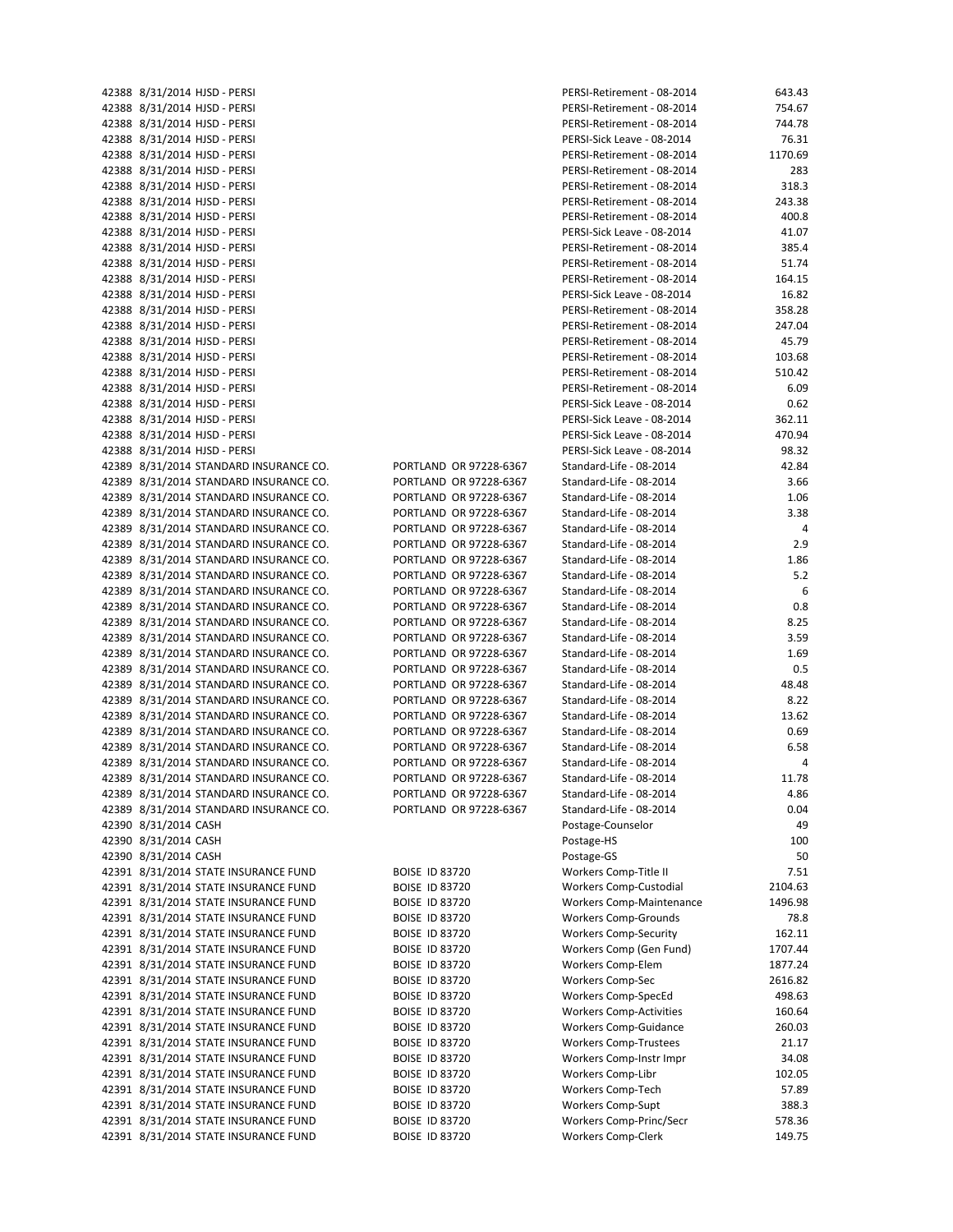42391 8/31/2014 STATE INSURANCE FUND BOISE ID 83720 Workers Comp-Clerk 149.75

42388 8/31/2014 HJSD - PERSI PERSI PERSI-Retirement - 08-2014 PERSI-Retirement - 08-2014 PERSI-Retirement - 08-2014 42388 8/31/2014 HJSD ‐ PERSI PERSI‐Retirement ‐ 08‐2014 754.67 42388 8/31/2014 HJSD ‐ PERSI PERSI‐Retirement ‐ 08‐2014 744.78 42388 8/31/2014 HJSD ‐ PERSI PERSI‐Sick Leave ‐ 08‐2014 76.31 42388 8/31/2014 HJSD ‐ PERSI PERSI‐Retirement ‐ 08‐2014 1170.69 42388 8/31/2014 HJSD ‐ PERSI PERSI‐Retirement ‐ 08‐2014 283 42388 8/31/2014 HJSD ‐ PERSI PERSI‐Retirement ‐ 08‐2014 318.3 42388 8/31/2014 HJSD ‐ PERSI PERSI‐Retirement ‐ 08‐2014 243.38 42388 8/31/2014 HJSD ‐ PERSI PERSI‐Retirement ‐ 08‐2014 400.8 42388 8/31/2014 HJSD ‐ PERSI PERSI‐Sick Leave ‐ 08‐2014 41.07 42388 8/31/2014 HJSD ‐ PERSI PERSI‐Retirement ‐ 08‐2014 385.4 42388 8/31/2014 HJSD ‐ PERSI PERSI‐Retirement ‐ 08‐2014 51.74 42388 8/31/2014 HJSD ‐ PERSI PERSI‐Retirement ‐ 08‐2014 164.15 42388 8/31/2014 HJSD ‐ PERSI PERSI‐Sick Leave ‐ 08‐2014 16.82 42388 8/31/2014 HJSD ‐ PERSI PERSI‐Retirement ‐ 08‐2014 358.28 42388 8/31/2014 HJSD ‐ PERSI PERSI‐Retirement ‐ 08‐2014 247.04 42388 8/31/2014 HJSD ‐ PERSI PERSI‐Retirement ‐ 08‐2014 45.79 42388 8/31/2014 HJSD ‐ PERSI PERSI‐Retirement ‐ 08‐2014 103.68 42388 8/31/2014 HJSD ‐ PERSI PERSI‐Retirement ‐ 08‐2014 510.42 42388 8/31/2014 HJSD ‐ PERSI PERSI‐Retirement ‐ 08‐2014 6.09 42388 8/31/2014 HJSD ‐ PERSI PERSI‐Sick Leave ‐ 08‐2014 0.62 42388 8/31/2014 HJSD ‐ PERSI PERSI‐Sick Leave ‐ 08‐2014 362.11 42388 8/31/2014 HJSD ‐ PERSI PERSI‐Sick Leave ‐ 08‐2014 470.94 42388 8/31/2014 HJSD ‐ PERSI PERSI‐Sick Leave ‐ 08‐2014 98.32 42389 8/31/2014 STANDARD INSURANCE CO. PORTLAND OR 97228‐6367 Standard‐Life ‐ 08‐2014 42.84 42389 8/31/2014 STANDARD INSURANCE CO. PORTLAND OR 97228‐6367 Standard‐Life ‐ 08‐2014 3.66 42389 8/31/2014 STANDARD INSURANCE CO. PORTLAND OR 97228‐6367 Standard‐Life ‐ 08‐2014 1.06 42389 8/31/2014 STANDARD INSURANCE CO. PORTLAND OR 97228‐6367 Standard‐Life ‐ 08‐2014 3.38 42389 8/31/2014 STANDARD INSURANCE CO. PORTLAND OR 97228‐6367 Standard‐Life ‐ 08‐2014 4 42389 8/31/2014 STANDARD INSURANCE CO. PORTLAND OR 97228‐6367 Standard‐Life ‐ 08‐2014 2.9 42389 8/31/2014 STANDARD INSURANCE CO. PORTLAND OR 97228‐6367 Standard‐Life ‐ 08‐2014 1.86 42389 8/31/2014 STANDARD INSURANCE CO. PORTLAND OR 97228‐6367 Standard‐Life ‐ 08‐2014 5.2 42389 8/31/2014 STANDARD INSURANCE CO. PORTLAND OR 97228‐6367 Standard‐Life ‐ 08‐2014 6 42389 8/31/2014 STANDARD INSURANCE CO. PORTLAND OR 97228‐6367 Standard‐Life ‐ 08‐2014 0.8 42389 8/31/2014 STANDARD INSURANCE CO. PORTLAND OR 97228‐6367 Standard‐Life ‐ 08‐2014 8.25 42389 8/31/2014 STANDARD INSURANCE CO. PORTLAND OR 97228‐6367 Standard‐Life ‐ 08‐2014 3.59 42389 8/31/2014 STANDARD INSURANCE CO. PORTLAND OR 97228-6367 Standard-Life - 08-2014 1.69 42389 8/31/2014 STANDARD INSURANCE CO. PORTLAND OR 97228‐6367 Standard‐Life ‐ 08‐2014 0.5 42389 8/31/2014 STANDARD INSURANCE CO. PORTLAND OR 97228‐6367 Standard‐Life ‐ 08‐2014 48.48 42389 8/31/2014 STANDARD INSURANCE CO. PORTLAND OR 97228‐6367 Standard‐Life ‐ 08‐2014 8.22 42389 8/31/2014 STANDARD INSURANCE CO. PORTLAND OR 97228-6367 Standard-Life - 08-2014 13.62 42389 8/31/2014 STANDARD INSURANCE CO. PORTLAND OR 97228-6367 Standard-Life - 08-2014 0.69 42389 8/31/2014 STANDARD INSURANCE CO. PORTLAND OR 97228‐6367 Standard‐Life ‐ 08‐2014 6.58 42389 8/31/2014 STANDARD INSURANCE CO. PORTLAND OR 97228‐6367 Standard‐Life ‐ 08‐2014 4 42389 8/31/2014 STANDARD INSURANCE CO. PORTLAND OR 97228‐6367 Standard‐Life ‐ 08‐2014 11.78 42389 8/31/2014 STANDARD INSURANCE CO. PORTLAND OR 97228‐6367 Standard‐Life ‐ 08‐2014 4.86 42389 8/31/2014 STANDARD INSURANCE CO. PORTLAND OR 97228-6367 Standard-Life - 08-2014 0.04 42390 8/31/2014 CASH Postage-Counselor 49 42390 8/31/2014 CASH Postage-HS Postage-HS Postage-HS Postage-HS Postage-HS Postage Postage-HS Postage-HS Postage-HS Postage-HS Postage-HS Postage-HS Postage-HS Postage-HS Posta 42390 8/31/2014 CASH Postage‐GS 50 42391 8/31/2014 STATE INSURANCE FUND BOISE ID 83720 Workers Comp-Title II 7.51 42391 8/31/2014 STATE INSURANCE FUND BOISE ID 83720 Workers Comp-Custodial 2104.63 42391 8/31/2014 STATE INSURANCE FUND BOISE ID 83720 Workers Comp-Maintenance 1496.98 42391 8/31/2014 STATE INSURANCE FUND BOISE ID 83720 Workers Comp‐Grounds 78.8 42391 8/31/2014 STATE INSURANCE FUND BOISE ID 83720 Workers Comp-Security 162.11 42391 8/31/2014 STATE INSURANCE FUND BOISE ID 83720 Workers Comp (Gen Fund) 1707.44 42391 8/31/2014 STATE INSURANCE FUND BOISE ID 83720 Workers Comp-Elem 1877.24 42391 8/31/2014 STATE INSURANCE FUND BOISE ID 83720 Workers Comp‐Sec 2616.82 42391 8/31/2014 STATE INSURANCE FUND BOISE ID 83720 Workers Comp-SpecEd 498.63 42391 8/31/2014 STATE INSURANCE FUND BOISE ID 83720 Workers Comp-Activities 160.64 42391 8/31/2014 STATE INSURANCE FUND BOISE ID 83720 Workers Comp‐Guidance 260.03 42391 8/31/2014 STATE INSURANCE FUND BOISE ID 83720 Workers Comp-Trustees 21.17 42391 8/31/2014 STATE INSURANCE FUND BOISE ID 83720 Workers Comp-Instr Impr 34.08 42391 8/31/2014 STATE INSURANCE FUND BOISE ID 83720 Workers Comp‐Libr 102.05 42391 8/31/2014 STATE INSURANCE FUND BOISE ID 83720 Workers Comp-Tech 57.89 42391 8/31/2014 STATE INSURANCE FUND BOISE ID 83720 Workers Comp‐Supt 388.3 42391 8/31/2014 STATE INSURANCE FUND BOISE ID 83720 Workers Comp-Princ/Secr 578.36